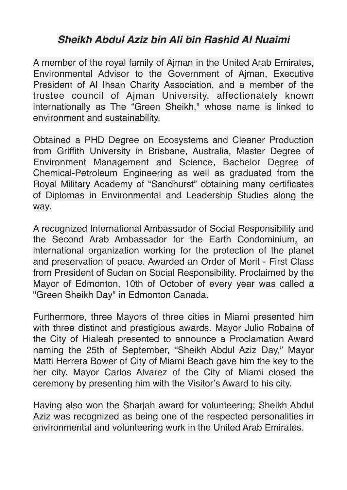## *Sheikh Abdul Aziz bin Ali bin Rashid Al Nuaimi*

A member of the royal family of Ajman in the United Arab Emirates, Environmental Advisor to the Government of Ajman, Executive President of Al Ihsan Charity Association, and a member of the trustee council of Ajman University, affectionately known internationally as The "Green Sheikh," whose name is linked to environment and sustainability.

Obtained a PHD Degree on Ecosystems and Cleaner Production from Griffith University in Brisbane, Australia, Master Degree of Environment Management and Science, Bachelor Degree of Chemical-Petroleum Engineering as well as graduated from the Royal Military Academy of "Sandhurst" obtaining many certificates of Diplomas in Environmental and Leadership Studies along the way.

A recognized International Ambassador of Social Responsibility and the Second Arab Ambassador for the Earth Condominium, an international organization working for the protection of the planet and preservation of peace. Awarded an Order of Merit - First Class from President of Sudan on Social Responsibility. Proclaimed by the Mayor of Edmonton, 10th of October of every year was called a "Green Sheikh Day" in Edmonton Canada.

Furthermore, three Mayors of three cities in Miami presented him with three distinct and prestigious awards. Mayor Julio Robaina of the City of Hialeah presented to announce a Proclamation Award naming the 25th of September, "Sheikh Abdul Aziz Day," Mayor Matti Herrera Bower of City of Miami Beach gave him the key to the her city. Mayor Carlos Alvarez of the City of Miami closed the ceremony by presenting him with the Visitor's Award to his city.

Having also won the Sharjah award for volunteering; Sheikh Abdul Aziz was recognized as being one of the respected personalities in environmental and volunteering work in the United Arab Emirates.